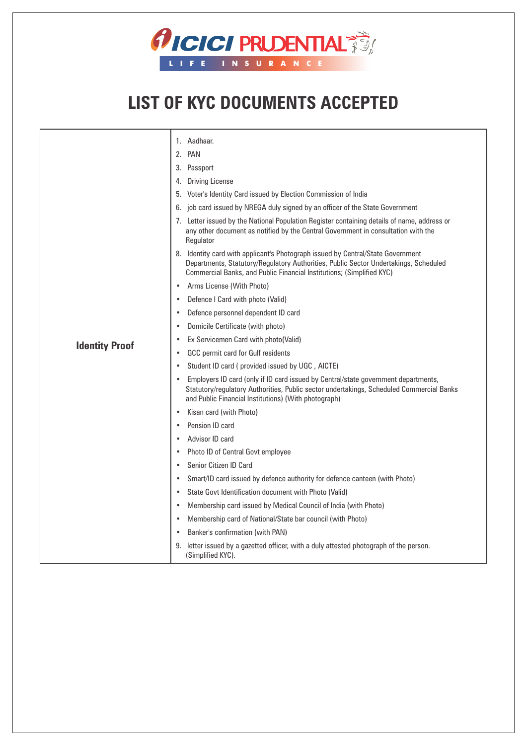

## **LIST OF KYC DOCUMENTS ACCEPTED**

|                       | 1. Aadhaar.                                                                                                                                                                                                                                      |
|-----------------------|--------------------------------------------------------------------------------------------------------------------------------------------------------------------------------------------------------------------------------------------------|
|                       | 2. PAN                                                                                                                                                                                                                                           |
|                       | 3. Passport                                                                                                                                                                                                                                      |
|                       | 4. Driving License                                                                                                                                                                                                                               |
|                       | Voter's Identity Card issued by Election Commission of India<br>5.                                                                                                                                                                               |
|                       | job card issued by NREGA duly signed by an officer of the State Government<br>6.                                                                                                                                                                 |
|                       | 7. Letter issued by the National Population Register containing details of name, address or<br>any other document as notified by the Central Government in consultation with the<br>Regulator                                                    |
|                       | 8. Identity card with applicant's Photograph issued by Central/State Government<br>Departments, Statutory/Regulatory Authorities, Public Sector Undertakings, Scheduled<br>Commercial Banks, and Public Financial Institutions; (Simplified KYC) |
|                       | Arms License (With Photo)                                                                                                                                                                                                                        |
|                       | Defence I Card with photo (Valid)                                                                                                                                                                                                                |
|                       | Defence personnel dependent ID card                                                                                                                                                                                                              |
|                       | Domicile Certificate (with photo)                                                                                                                                                                                                                |
| <b>Identity Proof</b> | Ex Servicemen Card with photo(Valid)                                                                                                                                                                                                             |
|                       | GCC permit card for Gulf residents<br>$\bullet$                                                                                                                                                                                                  |
|                       | Student ID card (provided issued by UGC, AICTE)                                                                                                                                                                                                  |
|                       | Employers ID card (only if ID card issued by Central/state government departments,<br>Statutory/regulatory Authorities, Public sector undertakings, Scheduled Commercial Banks<br>and Public Financial Institutions) (With photograph)           |
|                       | Kisan card (with Photo)                                                                                                                                                                                                                          |
|                       | Pension ID card                                                                                                                                                                                                                                  |
|                       | Advisor ID card                                                                                                                                                                                                                                  |
|                       | Photo ID of Central Govt employee                                                                                                                                                                                                                |
|                       | Senior Citizen ID Card                                                                                                                                                                                                                           |
|                       | Smart/ID card issued by defence authority for defence canteen (with Photo)                                                                                                                                                                       |
|                       | State Govt Identification document with Photo (Valid)                                                                                                                                                                                            |
|                       | Membership card issued by Medical Council of India (with Photo)                                                                                                                                                                                  |
|                       | Membership card of National/State bar council (with Photo)                                                                                                                                                                                       |
|                       | Banker's confirmation (with PAN)                                                                                                                                                                                                                 |
|                       | letter issued by a gazetted officer, with a duly attested photograph of the person.<br>9.<br>(Simplified KYC).                                                                                                                                   |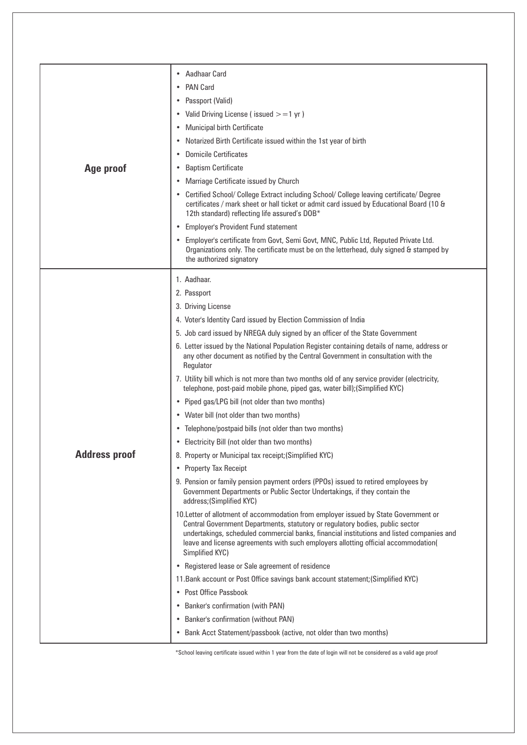| Age proof            | • Aadhaar Card<br><b>PAN Card</b><br>Passport (Valid)<br>$\bullet$<br>• Valid Driving License (issued $>=1$ yr)<br><b>Municipal birth Certificate</b><br>$\bullet$<br>Notarized Birth Certificate issued within the 1st year of birth<br>$\bullet$<br><b>Domicile Certificates</b><br>$\bullet$                                                                                                                                                                                                                                                                                                                                                                                                                                                                                                                                                                                                                                                                                                                                                                                                                                                                                                                                                             |
|----------------------|-------------------------------------------------------------------------------------------------------------------------------------------------------------------------------------------------------------------------------------------------------------------------------------------------------------------------------------------------------------------------------------------------------------------------------------------------------------------------------------------------------------------------------------------------------------------------------------------------------------------------------------------------------------------------------------------------------------------------------------------------------------------------------------------------------------------------------------------------------------------------------------------------------------------------------------------------------------------------------------------------------------------------------------------------------------------------------------------------------------------------------------------------------------------------------------------------------------------------------------------------------------|
|                      | <b>Baptism Certificate</b><br>$\bullet$<br>Marriage Certificate issued by Church<br>$\bullet$<br>• Certified School/ College Extract including School/ College leaving certificate/ Degree<br>certificates / mark sheet or hall ticket or admit card issued by Educational Board (10 &<br>12th standard) reflecting life assured's DOB*<br>• Employer's Provident Fund statement                                                                                                                                                                                                                                                                                                                                                                                                                                                                                                                                                                                                                                                                                                                                                                                                                                                                            |
|                      | • Employer's certificate from Govt, Semi Govt, MNC, Public Ltd, Reputed Private Ltd.<br>Organizations only. The certificate must be on the letterhead, duly signed & stamped by<br>the authorized signatory                                                                                                                                                                                                                                                                                                                                                                                                                                                                                                                                                                                                                                                                                                                                                                                                                                                                                                                                                                                                                                                 |
| <b>Address proof</b> | 1. Aadhaar.<br>2. Passport<br>3. Driving License<br>4. Voter's Identity Card issued by Election Commission of India<br>5. Job card issued by NREGA duly signed by an officer of the State Government<br>6. Letter issued by the National Population Register containing details of name, address or<br>any other document as notified by the Central Government in consultation with the<br>Regulator<br>7. Utility bill which is not more than two months old of any service provider (electricity,<br>telephone, post-paid mobile phone, piped gas, water bill); (Simplified KYC)<br>• Piped gas/LPG bill (not older than two months)<br>• Water bill (not older than two months)<br>• Telephone/postpaid bills (not older than two months)<br>• Electricity Bill (not older than two months)<br>8. Property or Municipal tax receipt; (Simplified KYC)<br>• Property Tax Receipt<br>9. Pension or family pension payment orders (PPOs) issued to retired employees by<br>Government Departments or Public Sector Undertakings, if they contain the<br>address; (Simplified KYC)<br>10. Letter of allotment of accommodation from employer issued by State Government or<br>Central Government Departments, statutory or regulatory bodies, public sector |
|                      | undertakings, scheduled commercial banks, financial institutions and listed companies and<br>leave and license agreements with such employers allotting official accommodation(<br>Simplified KYC)<br>• Registered lease or Sale agreement of residence<br>11. Bank account or Post Office savings bank account statement; (Simplified KYC)<br>• Post Office Passbook<br>• Banker's confirmation (with PAN)<br>• Banker's confirmation (without PAN)<br>• Bank Acct Statement/passbook (active, not older than two months)                                                                                                                                                                                                                                                                                                                                                                                                                                                                                                                                                                                                                                                                                                                                  |

\*School leaving certificate issued within 1 year from the date of login will not be considered as a valid age proof